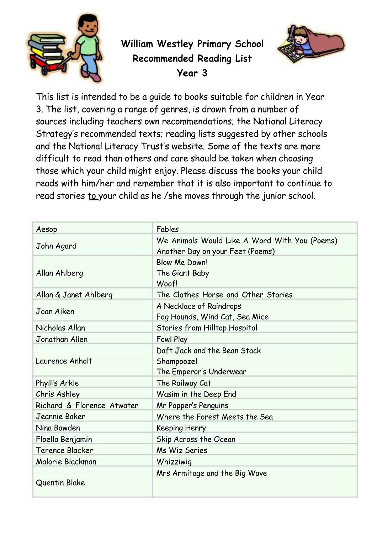

**William Westley Primary School Recommended Reading List Year 3**



This list is intended to be a guide to books suitable for children in Year 3. The list, covering a range of genres, is drawn from a number of sources including teachers own recommendations; the National Literacy Strategy's recommended texts; reading lists suggested by other schools and the National Literacy Trust's website. Some of the texts are more difficult to read than others and care should be taken when choosing those which your child might enjoy. Please discuss the books your child reads with him/her and remember that it is also important to continue to read stories to your child as he /she moves through the junior school.

| Aesop                      | Fables                                                                            |
|----------------------------|-----------------------------------------------------------------------------------|
| John Agard                 | We Animals Would Like A Word With You (Poems)<br>Another Day on your Feet (Poems) |
| Allan Ahlberg              | Blow Me Down!<br>The Giant Baby<br>Woof!                                          |
| Allan & Janet Ahlberg      | The Clothes Horse and Other Stories                                               |
| Joan Aiken                 | A Necklace of Raindrops<br>Fog Hounds, Wind Cat, Sea Mice                         |
| Nicholas Allan             | Stories from Hilltop Hospital                                                     |
| Jonathan Allen             | Fowl Play                                                                         |
| Laurence Anholt            | Daft Jack and the Bean Stack<br>Shampoozel<br>The Emperor's Underwear             |
| Phyllis Arkle              | The Railway Cat                                                                   |
| Chris Ashley               | Wasim in the Deep End                                                             |
| Richard & Florence Atwater | Mr Popper's Penguins                                                              |
| Jeannie Baker              | Where the Forest Meets the Sea                                                    |
| Nina Bawden                | Keeping Henry                                                                     |
| Floella Benjamin           | Skip Across the Ocean                                                             |
| Terence Blacker            | <b>Ms Wiz Series</b>                                                              |
| Malorie Blackman           | Whizziwig                                                                         |
| Quentin Blake              | Mrs Armitage and the Big Wave                                                     |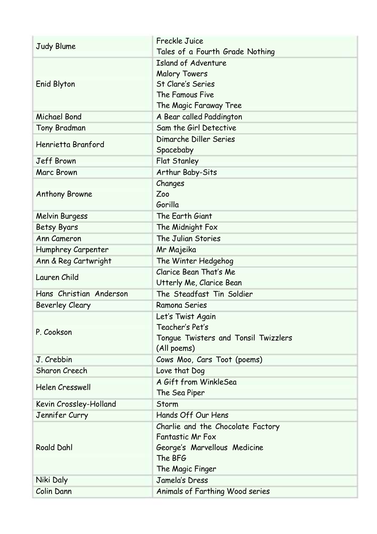|                         | <b>Freckle Juice</b>                 |
|-------------------------|--------------------------------------|
| Judy Blume              | Tales of a Fourth Grade Nothing      |
|                         | <b>Island of Adventure</b>           |
|                         | <b>Malory Towers</b>                 |
| Enid Blyton             | <b>St Clare's Series</b>             |
|                         | The Famous Five                      |
|                         | The Magic Faraway Tree               |
| <b>Michael Bond</b>     | A Bear called Paddington             |
| <b>Tony Bradman</b>     | Sam the Girl Detective               |
| Henrietta Branford      | Dimarche Diller Series               |
|                         | Spacebaby                            |
| <b>Jeff Brown</b>       | Flat Stanley                         |
| Marc Brown              | Arthur Baby-Sits                     |
|                         | Changes                              |
| <b>Anthony Browne</b>   | Zoo                                  |
|                         | Gorilla                              |
| <b>Melvin Burgess</b>   | The Earth Giant                      |
| <b>Betsy Byars</b>      | The Midnight Fox                     |
| <b>Ann Cameron</b>      | The Julian Stories                   |
| Humphrey Carpenter      | Mr Majeika                           |
| Ann & Reg Cartwright    | The Winter Hedgehog                  |
| Lauren Child            | Clarice Bean That's Me               |
|                         | Utterly Me, Clarice Bean             |
| Hans Christian Anderson | The Steadfast Tin Soldier            |
| <b>Beverley Cleary</b>  | Ramona Series                        |
|                         | Let's Twist Again                    |
| P. Cookson              | Teacher's Pet's                      |
|                         | Tongue Twisters and Tonsil Twizzlers |
|                         | (All poems)                          |
| J. Crebbin              | Cows Moo, Cars Toot (poems)          |
| Sharon Creech           | Love that Dog                        |
| <b>Helen Cresswell</b>  | A Gift from WinkleSea                |
|                         | The Sea Piper                        |
| Kevin Crossley-Holland  | Storm                                |
| Jennifer Curry          | Hands Off Our Hens                   |
|                         | Charlie and the Chocolate Factory    |
|                         | <b>Fantastic Mr Fox</b>              |
| <b>Roald Dahl</b>       | George's Marvellous Medicine         |
|                         | The BFG                              |
|                         | The Magic Finger                     |
| Niki Daly               | Jamela's Dress                       |
| Colin Dann              | Animals of Farthing Wood series      |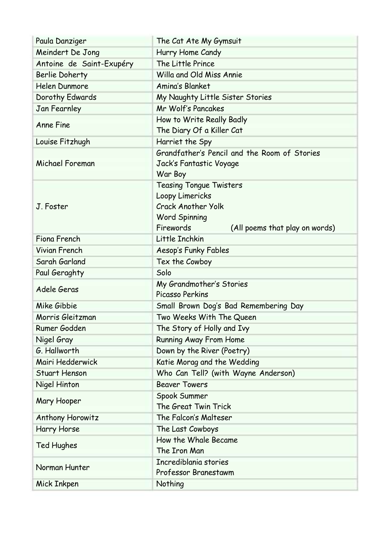| Paula Danziger           | The Cat Ate My Gymsuit                            |
|--------------------------|---------------------------------------------------|
| Meindert De Jong         | Hurry Home Candy                                  |
| Antoine de Saint-Exupéry | The Little Prince                                 |
| <b>Berlie Doherty</b>    | Willa and Old Miss Annie                          |
| <b>Helen Dunmore</b>     | <b>Amina's Blanket</b>                            |
| Dorothy Edwards          | My Naughty Little Sister Stories                  |
| Jan Fearnley             | Mr Wolf's Pancakes                                |
| <b>Anne Fine</b>         | How to Write Really Badly                         |
|                          | The Diary Of a Killer Cat                         |
| Louise Fitzhugh          | Harriet the Spy                                   |
|                          | Grandfather's Pencil and the Room of Stories      |
| Michael Foreman          | Jack's Fantastic Voyage                           |
|                          | War Boy                                           |
|                          | <b>Teasing Tongue Twisters</b><br>Loopy Limericks |
| J. Foster                | <b>Crack Another Yolk</b>                         |
|                          | <b>Word Spinning</b>                              |
|                          | Firewords<br>(All poems that play on words)       |
| Fiona French             | Little Inchkin                                    |
| <b>Vivian French</b>     | Aesop's Funky Fables                              |
| Sarah Garland            | Tex the Cowboy                                    |
| Paul Geraghty            | Solo                                              |
|                          | My Grandmother's Stories                          |
| Adele Geras              | Picasso Perkins                                   |
| Mike Gibbie              | Small Brown Dog's Bad Remembering Day             |
| Morris Gleitzman         | Two Weeks With The Queen                          |
| Rumer Godden             | The Story of Holly and Ivy                        |
| Nigel Gray               | <b>Running Away From Home</b>                     |
| G. Hallworth             | Down by the River (Poetry)                        |
| Mairi Hedderwick         | Katie Morag and the Wedding                       |
| <b>Stuart Henson</b>     | Who Can Tell? (with Wayne Anderson)               |
| Nigel Hinton             | <b>Beaver Towers</b>                              |
| Mary Hooper              | Spook Summer                                      |
|                          | The Great Twin Trick                              |
| <b>Anthony Horowitz</b>  | The Falcon's Malteser                             |
| Harry Horse              | The Last Cowboys                                  |
| Ted Hughes               | How the Whale Became                              |
|                          | The Iron Man                                      |
| Norman Hunter            | Incrediblania stories                             |
|                          | Professor Branestawm                              |
| Mick Inkpen              | Nothing                                           |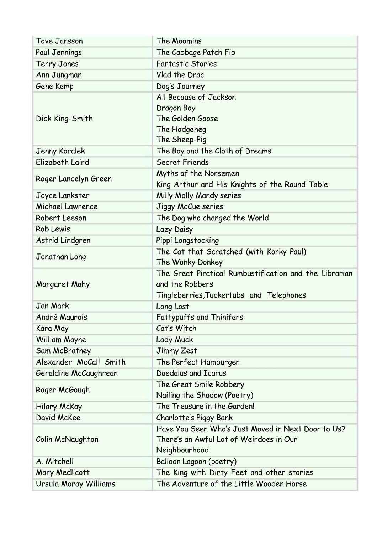| Tove Jansson           | The Moomins                                                                                                           |
|------------------------|-----------------------------------------------------------------------------------------------------------------------|
| Paul Jennings          | The Cabbage Patch Fib                                                                                                 |
| <b>Terry Jones</b>     | <b>Fantastic Stories</b>                                                                                              |
| Ann Jungman            | Vlad the Drac                                                                                                         |
| Gene Kemp              | Dog's Journey                                                                                                         |
| Dick King-Smith        | All Because of Jackson<br>Dragon Boy<br>The Golden Goose<br>The Hodgeheg<br>The Sheep-Pig                             |
| <b>Jenny Koralek</b>   | The Boy and the Cloth of Dreams                                                                                       |
| Elizabeth Laird        | <b>Secret Friends</b>                                                                                                 |
| Roger Lancelyn Green   | Myths of the Norsemen<br>King Arthur and His Knights of the Round Table                                               |
| Joyce Lankster         | Milly Molly Mandy series                                                                                              |
| Michael Lawrence       | Jiggy McCue series                                                                                                    |
| Robert Leeson          | The Dog who changed the World                                                                                         |
| <b>Rob Lewis</b>       | Lazy Daisy                                                                                                            |
| Astrid Lindgren        | Pippi Longstocking                                                                                                    |
| Jonathan Long          | The Cat that Scratched (with Korky Paul)<br>The Wonky Donkey                                                          |
| Margaret Mahy          | The Great Piratical Rumbustification and the Librarian<br>and the Robbers<br>Tingleberries, Tuckertubs and Telephones |
| <b>Jan Mark</b>        | Long Lost                                                                                                             |
| André Maurois          | <b>Fattypuffs and Thinifers</b>                                                                                       |
| Kara May               | Cat's Witch                                                                                                           |
| <b>William Mayne</b>   | <b>Lady Muck</b>                                                                                                      |
| Sam McBratney          | Jimmy Zest                                                                                                            |
| Alexander McCall Smith | The Perfect Hamburger                                                                                                 |
| Geraldine McCaughrean  | Daedalus and Icarus                                                                                                   |
| Roger McGough          | The Great Smile Robbery<br>Nailing the Shadow (Poetry)                                                                |
| Hilary McKay           | The Treasure in the Garden!                                                                                           |
| David McKee            | Charlotte's Piggy Bank                                                                                                |
| Colin McNaughton       | Have You Seen Who's Just Moved in Next Door to Us?<br>There's an Awful Lot of Weirdoes in Our<br>Neighbourhood        |
| A. Mitchell            | <b>Balloon Lagoon (poetry)</b>                                                                                        |
| Mary Medlicott         | The King with Dirty Feet and other stories                                                                            |
| Ursula Moray Williams  | The Adventure of the Little Wooden Horse                                                                              |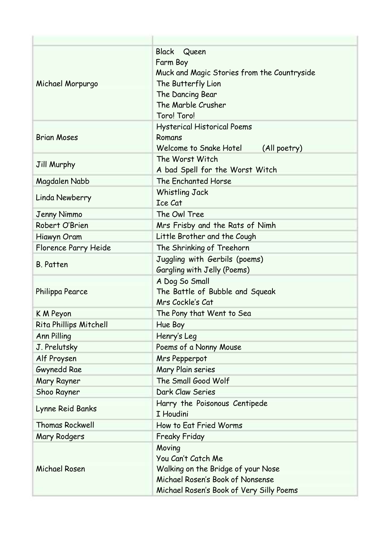| Michael Morpurgo       | <b>Black</b><br>Queen<br>Farm Boy<br>Muck and Magic Stories from the Countryside<br>The Butterfly Lion<br>The Dancing Bear<br>The Marble Crusher<br>Toro! Toro! |
|------------------------|-----------------------------------------------------------------------------------------------------------------------------------------------------------------|
| <b>Brian Moses</b>     | <b>Hysterical Historical Poems</b><br>Romans<br>Welcome to Snake Hotel<br>(All poetry)                                                                          |
| Jill Murphy            | The Worst Witch<br>A bad Spell for the Worst Witch                                                                                                              |
| Magdalen Nabb          | The Enchanted Horse                                                                                                                                             |
| Linda Newberry         | <b>Whistling Jack</b><br>Ice Cat                                                                                                                                |
| <b>Jenny Nimmo</b>     | The Owl Tree                                                                                                                                                    |
| Robert O'Brien         | Mrs Frisby and the Rats of Nimh                                                                                                                                 |
| Hiawyn Oram            | Little Brother and the Cough                                                                                                                                    |
| Florence Parry Heide   | The Shrinking of Treehorn                                                                                                                                       |
| <b>B.</b> Patten       | Juggling with Gerbils (poems)<br>Gargling with Jelly (Poems)                                                                                                    |
| Philippa Pearce        | A Dog So Small<br>The Battle of Bubble and Squeak<br>Mrs Cockle's Cat                                                                                           |
| K M Peyon              | The Pony that Went to Sea                                                                                                                                       |
| Rita Phillips Mitchell | Hue Boy                                                                                                                                                         |
| <b>Ann Pilling</b>     | Henry's Leg                                                                                                                                                     |
| J. Prelutsky           | Poems of a Nonny Mouse                                                                                                                                          |
| Alf Proysen            | Mrs Pepperpot                                                                                                                                                   |
| <b>Gwynedd Rae</b>     | Mary Plain series                                                                                                                                               |
| Mary Rayner            | The Small Good Wolf                                                                                                                                             |
| Shoo Rayner            | Dark Claw Series                                                                                                                                                |
| Lynne Reid Banks       | Harry the Poisonous Centipede<br>I Houdini                                                                                                                      |
| <b>Thomas Rockwell</b> | How to Eat Fried Worms                                                                                                                                          |
| Mary Rodgers           | <b>Freaky Friday</b>                                                                                                                                            |
| Michael Rosen          | Moving<br>You Can't Catch Me<br>Walking on the Bridge of your Nose<br>Michael Rosen's Book of Nonsense<br>Michael Rosen's Book of Very Silly Poems              |